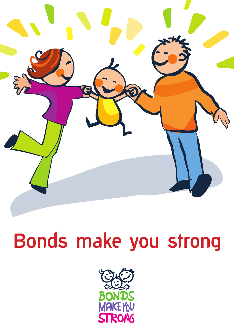

# Bonds make you strong

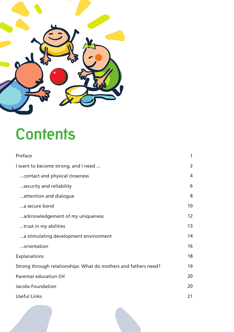

## **Contents**

| Preface                                                         | 1               |
|-----------------------------------------------------------------|-----------------|
| I want to become strong, and I need                             | $\overline{2}$  |
| contact and physical closeness                                  | 4               |
| security and reliability                                        | 6               |
| attention and dialogue                                          | 8               |
| a secure bond                                                   | 10              |
| acknowledgement of my uniqueness                                | 12 <sup>2</sup> |
| trust in my abilities                                           | 13              |
| a stimulating development environment                           | 14              |
| orientation                                                     | 16              |
| Explanations                                                    | 18              |
| Strong through relationships: What do mothers and fathers need? | 19              |
| Parental education CH                                           | 20              |
| Jacobs Foundation                                               | 20              |
| Useful Links                                                    | 21              |
|                                                                 |                 |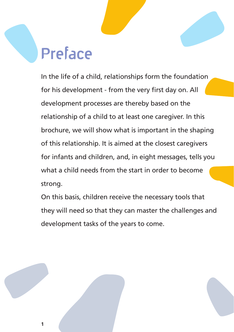## **Preface**

In the life of a child, relationships form the foundation for his development - from the very first day on. All development processes are thereby based on the relationship of a child to at least one caregiver. In this brochure, we will show what is important in the shaping of this relationship. It is aimed at the closest caregivers for infants and children, and, in eight messages, tells you what a child needs from the start in order to become strong.

On this basis, children receive the necessary tools that they will need so that they can master the challenges and development tasks of the years to come.

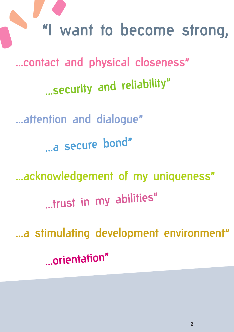**"I want to become strong, and I need ...** ... contact and physical closeness" ... security and reliability" ... attention and dialogue" ...a secure bond" ...acknowledgement of my uniqueness" ...trust in my abilities" ... a stimulating development environment" ...orientation"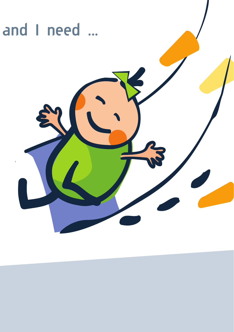## **"I want to become strong, and I need ...**

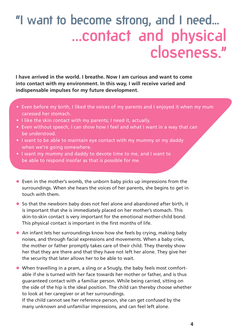## **"I want to become strong, and I need... ...contact and physical closeness."**

**I have arrived in the world. I breathe. Now I am curious and want to come into contact with my environment. In this way, I will receive varied and indispensable impulses for my future development.** 

- Even before my birth, I liked the voices of my parents and I enjoyed it when my mum caressed her stomach.
- I like the skin contact with my parents; I need it, actually.

.

- Even without speech, I can show how I feel and what I want in a way that can be understood.
- I want to be able to maintain eye contact with my mummy or my daddy when we're going somewhere.
- I want my mummy and daddy to devote time to me, and I want to be able to respond insofar as that is possible for me.
- Even in the mother's womb, the unborn baby picks up impressions from the surroundings. When she hears the voices of her parents, she begins to get in touch with them.
- So that the newborn baby does not feel alone and abandoned after birth, it is important that she is immediately placed on her mother's stomach. This skin-to-skin contact is very important for the emotional mother-child bond. This physical contact is important in the first months of life.
- An infant lets her surroundings know how she feels by crying, making baby noises, and through facial expressions and movements. When a baby cries, the mother or father promptly takes care of their child. They thereby show her that they are there and that they have not left her alone. They give her the security that later allows her to be able to wait.
- When travelling in a pram, a sling or a Snugly, the baby feels most comfortable if she is turned with her face towards her mother or father, and is thus guaranteed contact with a familiar person. While being carried, sitting on the side of the hip is the ideal position. The child can thereby choose whether to look at her caregiver or at her surroundings.

If the child cannot see her reference person, she can get confused by the many unknown and unfamiliar impressions, and can feel left alone.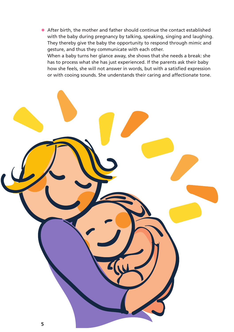• After birth, the mother and father should continue the contact established with the baby during pregnancy by talking, speaking, singing and laughing. They thereby give the baby the opportunity to respond through mimic and gesture, and thus they communicate with each other. When a baby turns her glance away, she shows that she needs a break: she has to process what she has just experienced. If the parents ask their baby how she feels, she will not answer in words, but with a satisfied expression or with cooing sounds. She understands their caring and affectionate tone.

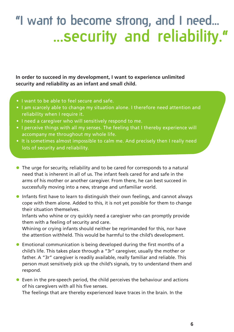### **"I want to become strong, and I need... ...security and reliability."**

**In order to succeed in my development, I want to experience unlimited security and reliability as an infant and small child.**

- I want to be able to feel secure and safe.
- I am scarcely able to change my situation alone. I therefore need attention and reliability when I require it.
- I need a caregiver who will sensitively respond to me.
- I perceive things with all my senses. The feeling that I thereby experience will accompany me throughout my whole life.
- It is sometimes almost impossible to calm me. And precisely then I really need lots of security and reliability.
- The urge for security, reliability and to be cared for corresponds to a natural need that is inherent in all of us. The infant feels cared for and safe in the arms of his mother or another caregiver. From there, he can best succeed in successfully moving into a new, strange and unfamiliar world.
- Infants first have to learn to distinguish their own feelings, and cannot always cope with them alone. Added to this, it is not yet possible for them to change their situation themselves.

Infants who whine or cry quickly need a caregiver who can promptly provide them with a feeling of security and care.

Whining or crying infants should neither be reprimanded for this, nor have the attention withheld. This would be harmful to the child's development.

- Emotional communication is being developed during the first months of a child's life. This takes place through a "3r" caregiver, usually the mother or father. A "3r" caregiver is readily available, really familiar and reliable. This person must sensitively pick up the child's signals, try to understand them and respond.
- Even in the pre-speech period, the child perceives the behaviour and actions of his caregivers with all his five senses.

The feelings that are thereby experienced leave traces in the brain. In the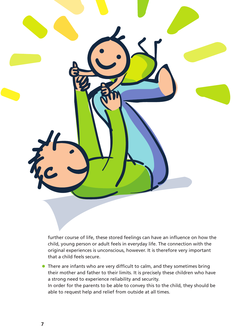

further course of life, these stored feelings can have an influence on how the child, young person or adult feels in everyday life. The connection with the original experiences is unconscious, however. It is therefore very important that a child feels secure.

• There are infants who are very difficult to calm, and they sometimes bring their mother and father to their limits. It is precisely these children who have a strong need to experience reliability and security. In order for the parents to be able to convey this to the child, they should be able to request help and relief from outside at all times.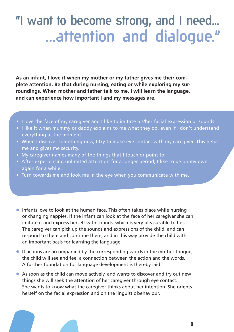### **"I want to become strong, and I need... ...attention and dialogue."**

**As an infant, I love it when my mother or my father gives me their complete attention. Be that during nursing, eating or while exploring my surroundings. When mother and father talk to me, I will learn the language, and can experience how important I and my messages are.**

- I love the face of my caregiver and I like to imitate his/her facial expression or sounds.
- I like it when mummy or daddy explains to me what they do, even if I don't understand everything at the moment.
- When I discover something new, I try to make eye contact with my caregiver. This helps me and gives me security.
- My caregiver names many of the things that I touch or point to.
- After experiencing unlimited attention for a longer period, I like to be on my own again for a while.
- Turn towards me and look me in the eye when you communicate with me.
- Infants love to look at the human face. This often takes place while nursing or changing nappies. If the infant can look at the face of her caregiver she can imitate it and express herself with sounds, which is very pleasurable to her. The caregiver can pick up the sounds and expressions of the child, and can respond to them and continue them, and in this way provide the child with an important basis for learning the language.
- If actions are accompanied by the corresponding words in the mother tongue, the child will see and feel a connection between the action and the words. A further foundation for language development is thereby laid.
- As soon as the child can move actively, and wants to discover and try out new things she will seek the attention of her caregiver through eye contact. She wants to know what the caregiver thinks about her intention. She orients herself on the facial expression and on the linguistic behaviour.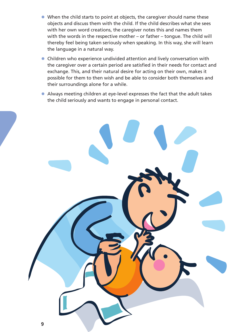- When the child starts to point at objects, the caregiver should name these objects and discuss them with the child. If the child describes what she sees with her own word creations, the caregiver notes this and names them with the words in the respective mother – or father – tongue. The child will thereby feel being taken seriously when speaking. In this way, she will learn the language in a natural way.
- Children who experience undivided attention and lively conversation with the caregiver over a certain period are satisfied in their needs for contact and exchange. This, and their natural desire for acting on their own, makes it possible for them to then wish and be able to consider both themselves and their surroundings alone for a while.
- Always meeting children at eye-level expresses the fact that the adult takes the child seriously and wants to engage in personal contact.

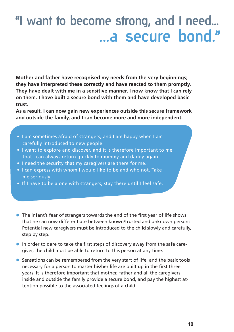### **"I want to become strong, and I need... ...a secure bond."**

**Mother and father have recognised my needs from the very beginnings; they have interpreted these correctly and have reacted to them promptly. They have dealt with me in a sensitive manner. I now know that I can rely on them. I have built a secure bond with them and have developed basic trust.**

**As a result, I can now gain new experiences outside this secure framework and outside the family, and I can become more and more independent.**

- I am sometimes afraid of strangers, and I am happy when I am carefully introduced to new people.
- I want to explore and discover, and it is therefore important to me that I can always return quickly to mummy and daddy again.
- I need the security that my caregivers are there for me.
- I can express with whom I would like to be and who not. Take me seriously.
- If I have to be alone with strangers, stay there until I feel safe.
- The infant's fear of strangers towards the end of the first year of life shows that he can now differentiate between known/trusted and unknown persons. Potential new caregivers must be introduced to the child slowly and carefully, step by step.
- In order to dare to take the first steps of discovery away from the safe caregiver, the child must be able to return to this person at any time.
- Sensations can be remembered from the very start of life, and the basic tools necessary for a person to master his/her life are built up in the first three years. It is therefore important that mother, father and all the caregivers inside and outside the family provide a secure bond, and pay the highest attention possible to the associated feelings of a child.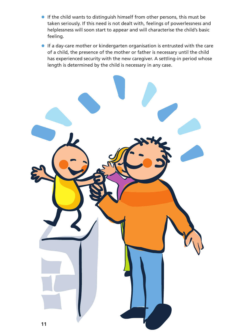- If the child wants to distinguish himself from other persons, this must be taken seriously. If this need is not dealt with, feelings of powerlessness and helplessness will soon start to appear and will characterise the child's basic feeling.
- If a day-care mother or kindergarten organisation is entrusted with the care of a child, the presence of the mother or father is necessary until the child has experienced security with the new caregiver. A settling-in period whose length is determined by the child is necessary in any case.

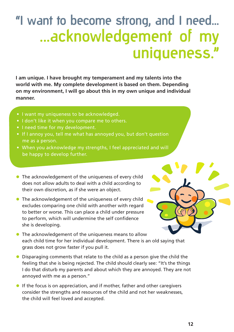## **"I want to become strong, and I need... ...acknowledgement of my uniqueness."**

**I am unique. I have brought my temperament and my talents into the world with me. My complete development is based on them. Depending on my environment, I will go about this in my own unique and individual manner.**

- I want my uniqueness to be acknowledged.
- I don't like it when you compare me to others.
- I need time for my development.
- If I annoy you, tell me what has annoyed you, but don't question me as a person.
- When you acknowledge my strengths, I feel appreciated and will be happy to develop further.
- The acknowledgement of the uniqueness of every child does not allow adults to deal with a child according to their own discretion, as if she were an object.
- The acknowledgement of the uniqueness of every child excludes comparing one child with another with regard to better or worse. This can place a child under pressure to perform, which will undermine the self confidence she is developing.



- The acknowledgement of the uniqueness means to allow each child time for her individual development. There is an old saying that grass does not grow faster if you pull it.
- Disparaging comments that relate to the child as a person give the child the feeling that she is being rejected. The child should clearly see: "It's the things I do that disturb my parents and about which they are annoyed. They are not annoyed with me as a person."
- If the focus is on appreciation, and if mother, father and other caregivers consider the strengths and resources of the child and not her weaknesses, the child will feel loved and accepted.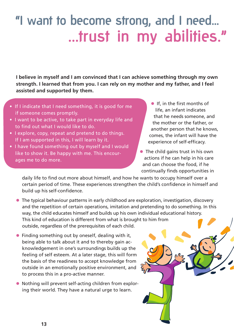### **"I want to become strong, and I need... ...trust in my abilities."**

**I believe in myself and I am convinced that I can achieve something through my own strength. I learned that from you. I can rely on my mother and my father, and I feel assisted and supported by them.**

- If I indicate that I need something, it is good for me if someone comes promptly.
- I want to be active, to take part in everyday life and to find out what I would like to do.
- I explore, copy, repeat and pretend to do things. If I am supported in this, I will learn by it.
- I have found something out by myself and I would like to show it. Be happy with me. This encourages me to do more.
- If, in the first months of life, an infant indicates that he needs someone, and the mother or the father, or another person that he knows, comes, the infant will have the experience of self-efficacy.
- The child gains trust in his own actions if he can help in his care and can choose the food, if he continually finds opportunities in

daily life to find out more about himself, and how he wants to occupy himself over a certain period of time. These experiences strengthen the child's confidence in himself and build up his self-confidence.

- The typical behaviour patterns in early childhood are exploration, investigation, discovery and the repetition of certain operations, imitation and pretending to do something. In this way, the child educates himself and builds up his own individual educational history. This kind of education is different from what is brought to him from outside, regardless of the prerequisites of each child.
- Finding something out by oneself, dealing with it, being able to talk about it and to thereby gain acknowledgement in one's surroundings builds up the feeling of self esteem. At a later stage, this will form the basis of the readiness to accept knowledge from outside in an emotionally positive environment, and to process this in a pro-active manner.
- Nothing will prevent self-acting children from exploring their world. They have a natural urge to learn.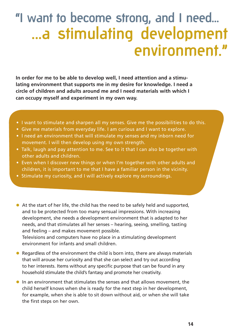## **"I want to become strong, and I need... ...a stimulating development environment."**

**In order for me to be able to develop well, I need attention and a stimulating environment that supports me in my desire for knowledge. I need a circle of children and adults around me and I need materials with which I can occupy myself and experiment in my own way.**

- I want to stimulate and sharpen all my senses. Give me the possibilities to do this.
- Give me materials from everyday life. I am curious and I want to explore.
- I need an environment that will stimulate my senses and my inborn need for movement. I will then develop using my own strength.
- Talk, laugh and pay attention to me. See to it that I can also be together with other adults and children.
- Even when I discover new things or when I'm together with other adults and children, it is important to me that I have a familiar person in the vicinity.
- Stimulate my curiosity, and I will actively explore my surroundings.
- At the start of her life, the child has the need to be safely held and supported, and to be protected from too many sensual impressions. With increasing development, she needs a development environment that is adapted to her needs, and that stimulates all her senses – hearing, seeing, smelling, tasting and feeling – and makes movement possible.

Televisions and computers have no place in a stimulating development environment for infants and small children.

- Regardless of the environment the child is born into, there are always materials that will arouse her curiosity and that she can select and try out according to her interests. Items without any specific purpose that can be found in any household stimulate the child's fantasy and promote her creativity.
- In an environment that stimulates the senses and that allows movement, the child herself knows when she is ready for the next step in her development, for example, when she is able to sit down without aid, or when she will take the first steps on her own.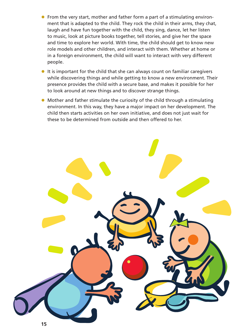- From the very start, mother and father form a part of a stimulating environment that is adapted to the child. They rock the child in their arms, they chat, laugh and have fun together with the child, they sing, dance, let her listen to music, look at picture books together, tell stories, and give her the space and time to explore her world. With time, the child should get to know new role models and other children, and interact with them. Whether at home or in a foreign environment, the child will want to interact with very different people.
- It is important for the child that she can always count on familiar caregivers while discovering things and while getting to know a new environment. Their presence provides the child with a secure base, and makes it possible for her to look around at new things and to discover strange things.
- Mother and father stimulate the curiosity of the child through a stimulating environment. In this way, they have a major impact on her development. The child then starts activities on her own initiative, and does not just wait for these to be determined from outside and then offered to her.

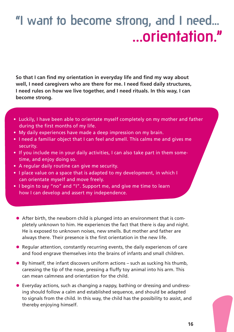### **"I want to become strong, and I need... ...orientation."**

**So that I can find my orientation in everyday life and find my way about well, I need caregivers who are there for me. I need fixed daily structures, I need rules on how we live together, and I need rituals. In this way, I can become strong.**

- Luckily, I have been able to orientate myself completely on my mother and father during the first months of my life.
- My daily experiences have made a deep impression on my brain.
- I need a familiar object that I can feel and smell. This calms me and gives me security.
- If you include me in your daily activities, I can also take part in them sometime, and enjoy doing so.
- A regular daily routine can give me security.
- I place value on a space that is adapted to my development, in which I can orientate myself and move freely.
- I begin to say "no" and "I". Support me, and give me time to learn how I can develop and assert my independence.
	- After birth, the newborn child is plunged into an environment that is completely unknown to him. He experiences the fact that there is day and night. He is exposed to unknown noises, new smells. But mother and father are always there. Their presence is the first orientation in the new life.
	- Regular attention, constantly recurring events, the daily experiences of care and food engrave themselves into the brains of infants and small children.
	- By himself, the infant discovers uniform actions such as sucking his thumb, caressing the tip of the nose, pressing a fluffy toy animal into his arm. This can mean calmness and orientation for the child.
	- Everyday actions, such as changing a nappy, bathing or dressing and undressing should follow a calm and established sequence, and should be adapted to signals from the child. In this way, the child has the possibility to assist, and thereby enjoying himself.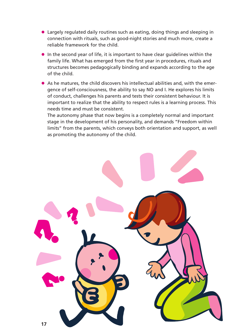- Largely regulated daily routines such as eating, doing things and sleeping in connection with rituals, such as good-night stories and much more, create a reliable framework for the child.
- In the second year of life, it is important to have clear guidelines within the family life. What has emerged from the first year in procedures, rituals and structures becomes pedagogically binding and expands according to the age of the child.
- As he matures, the child discovers his intellectual abilities and, with the emergence of self-consciousness, the ability to say NO and I. He explores his limits of conduct, challenges his parents and tests their consistent behaviour. It is important to realize that the ability to respect rules is a learning process. This needs time and must be consistent.

The autonomy phase that now begins is a completely normal and important stage in the development of his personality, and demands "Freedom within limits" from the parents, which conveys both orientation and support, as well as promoting the autonomy of the child.

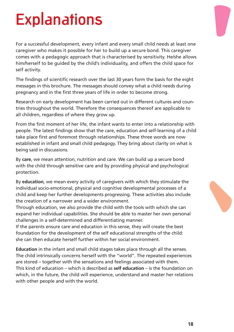## **Explanations**

For a successful development, every infant and every small child needs at least one caregiver who makes it possible for her to build up a secure bond. This caregiver comes with a pedagogic approach that is characterised by sensitivity. He/she allows him/herself to be guided by the child's individuality, and offers the child space for self activity.

The findings of scientific research over the last 30 years form the basis for the eight messages in this brochure. The messages should convey what a child needs during pregnancy and in the first three years of life in order to become strong.

Research on early development has been carried out in different cultures and countries throughout the world. Therefore the consequences thereof are applicable to all children, regardless of where they grow up.

From the first moment of her life, the infant wants to enter into a relationship with people. The latest findings show that the care, education and self-learning of a child take place first and foremost through relationships. These three words are now established in infant and small child pedagogy. They bring about clarity on what is being said in discussions.

By **care**, we mean attention, nutrition and care. We can build up a secure bond with the child through sensitive care and by providing physical and psychological protection.

By **education**, we mean every activity of caregivers with which they stimulate the individual socio-emotional, physical and cognitive developmental processes of a child and keep her further developments progressing. These activities also include the creation of a narrower and a wider environment.

Through education, we also provide the child with the tools with which she can expand her individual capabilities. She should be able to master her own personal challenges in a self-determined and differentiating manner.

If the parents ensure care and education in this sense, they will create the best foundation for the development of the self educational strengths of the child: she can then educate herself further within her social environment.

**Education** in the infant and small child stages takes place through all the senses. The child intrinsically concerns herself with the "world". The repeated experiences are stored – together with the sensations and feelings associated with them. This kind of education – which is described as **self education** – is the foundation on which, in the future, the child will experience, understand and master her relations with other people and with the world.

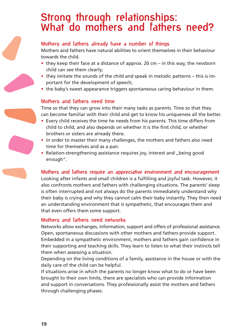# **Strong through relationships: What do mothers and fathers need?**

#### **Mothers and fathers already have a number of things**

Mothers and fathers have natural abilities to orient themselves in their behaviour towards the child.

- they keep their face at a distance of approx. 20 cm in this way, the newborn child can see them clearly;
- they imitate the sounds of the child and speak in melodic patterns this is important for the development of speech;
- the baby's sweet appearance triggers spontaneous caring behaviour in them.

#### **Mothers and fathers need time**

Time so that they can grow into their many tasks as parents. Time so that they can become familiar with their child and get to know his uniqueness all the better.

- Every child receives the time he needs from his parents. This time differs from child to child, and also depends on whether it is the first child, or whether brothers or sisters are already there.
- In order to master their many challenges, the mothers and fathers also need time for themselves and as a pair.
- Relation-strengthening assistance requires joy, interest and "being good enough".

**Mothers and fathers require an appreciative environment and encouragement** Looking after infants and small children is a fulfilling and joyful task. However, it also confronts mothers and fathers with challenging situations. The parents' sleep is often interrupted and not always do the parents immediately understand why their baby is crying and why they cannot calm their baby instantly. They then need an understanding environment that is sympathetic, that encourages them and that even offers them some support.

#### **Mothers and fathers need networks**

Networks allow exchanges, information, support and offers of professional assistance. Open, spontaneous discussions with other mothers and fathers provide support. Embedded in a sympathetic environment, mothers and fathers gain confidence in their supporting and teaching skills. They learn to listen to what their instincts tell them when assessing a situation.

Depending on the living conditions of a family, assistance in the house or with the daily care of the child can be helpful.

If situations arise in which the parents no longer know what to do or have been brought to their own limits, there are specialists who can provide information and support in conversations. They professionally assist the mothers and fathers through challenging phases.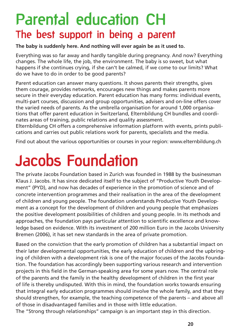### **Parental education CH The best support in being a parent**

**The baby is suddenly here. And nothing will ever again be as it used to.** 

Everything was so far away and hardly tangible during pregnancy. And now? Everything changes. The whole life, the job, the environment. The baby is so sweet, but what happens if she continues crying, if she can't be calmed, if we come to our limits? What do we have to do in order to be good parents?

Parent education can answer many questions. It shows parents their strengths, gives them courage, provides networks, encourages new things and makes parents more secure in their everyday education. Parent education has many forms: individual events, multi-part courses, discussion and group opportunities, advisers and on-line offers cover the varied needs of parents. As the umbrella organisation for around 1,000 organisations that offer parent education in Switzerland, Elternbildung CH bundles and coordinates areas of training, public relations and quality assessment.

Elternbildung CH offers a comprehensive information platform with events, prints publications and carries out public relations work for parents, specialists and the media.

Find out about the various opportunities or courses in your region: www.elternbildung.ch

## **Jacobs Foundation**

The private Jacobs Foundation based in Zurich was founded in 1988 by the businessman Klaus J. Jacobs. It has since dedicated itself to the subject of "Productive Youth Development" (PYD), and now has decades of experience in the promotion of science and of concrete intervention programmes and their realisation in the area of the development of children and young people. The foundation understands Productive Youth Development as a concept for the development of children and young people that emphasizes the positive development possibilities of children and young people. In its methods and approaches, the foundation pays particular attention to scientific excellence and knowledge based on evidence. With its investment of 200 million Euro in the Jacobs University Bremen (2006), it has set new standards in the area of private promotion.

Based on the conviction that the early promotion of children has a substantial impact on their later developmental opportunities, the early education of children and the upbringing of children with a development risk is one of the major focuses of the Jacobs Foundation. The foundation has accordingly been supporting various research and intervention projects in this field in the German-speaking area for some years now. The central role of the parents and the family in the healthy development of children in the first year of life is thereby undisputed. With this in mind, the foundation works towards ensuring that integral early education programmes should involve the whole family, and that they should strengthen, for example, the teaching competence of the parents – and above all of those in disadvantaged families and in those with little education.

The "Strong through relationships" campaign is an important step in this direction.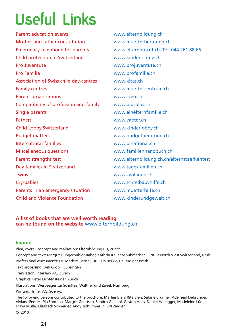## **Useful Links**

www.elternbildung.ch www.muetterberatung.ch www.elternnotruf.ch, Tel. 044 261 88 66 www.kinderschutz.ch www.projuventute.ch www.profamilia.ch www.kitas.ch www.muetterzentrum.ch www.sveo.ch www.plusplus.ch www.einelternfamilie.ch www.vaeter.ch www.kinderlobby.ch www.budgetberatung.ch www.binational.ch www.familienhandbuch.ch www.elternbildung.zh.ch/elternstaerkentest www.tagesfamilien.ch www.zwillinge.ch www.schreibabyhilfe.ch www.muetterhilfe.ch www.kinderundgewalt.ch Parent education events Mother and father consultation Emergency telephone for parents Child protection in Switzerland Pro Juventute Pro Familia Association of Swiss child day-centres Family centres Parent organisations Compatibility of profession and family Single parents Fathers Child Lobby Switzerland Budget matters Intercultural families Miscellaneous questions Parent strengths test Day families in Switzerland Twins Cry-babies Parents in an emergency situation Child and Violence Foundation

#### **A list of books that are well worth reading can be found on the website** www.elternbildung.ch

#### **Imprint**

Idea, overall concept and realisation: Elternbildung CH, Zürich Concept and text: Margrit Hungerbühler-Räber, Kathrin Keller-Schuhmacher, F-NETZ North-west Switzerland, Basle Professional assessments: Dr. Joachim Bensel, Dr. Julia Berkic, Dr. Rüdiger Posth Text processing: Ueli Gröbli, Lupsingen Translation: Interserv AG, Zurich Graphics: Peter Lichtensteiger, Zürich Illustrations: Werbeagentur Schultze, Walther und Zahel, Nürnberg Printing: Triner AG, Schwyz The following persons contributed to the brochure: Marlies Bieri, Rita Bieri, Sabine Brunner, Adelheid Debrunner, Viviane Fenter, Pia Fontana, Margrit Geertsen, Sandro Giuliani, Gaston Haas, Daniel Habegger, Madeleine Lüdi, Maya Mulle, Elisabeth Schneider, Andy Tschümperlin, Urs Ziegler © 2010